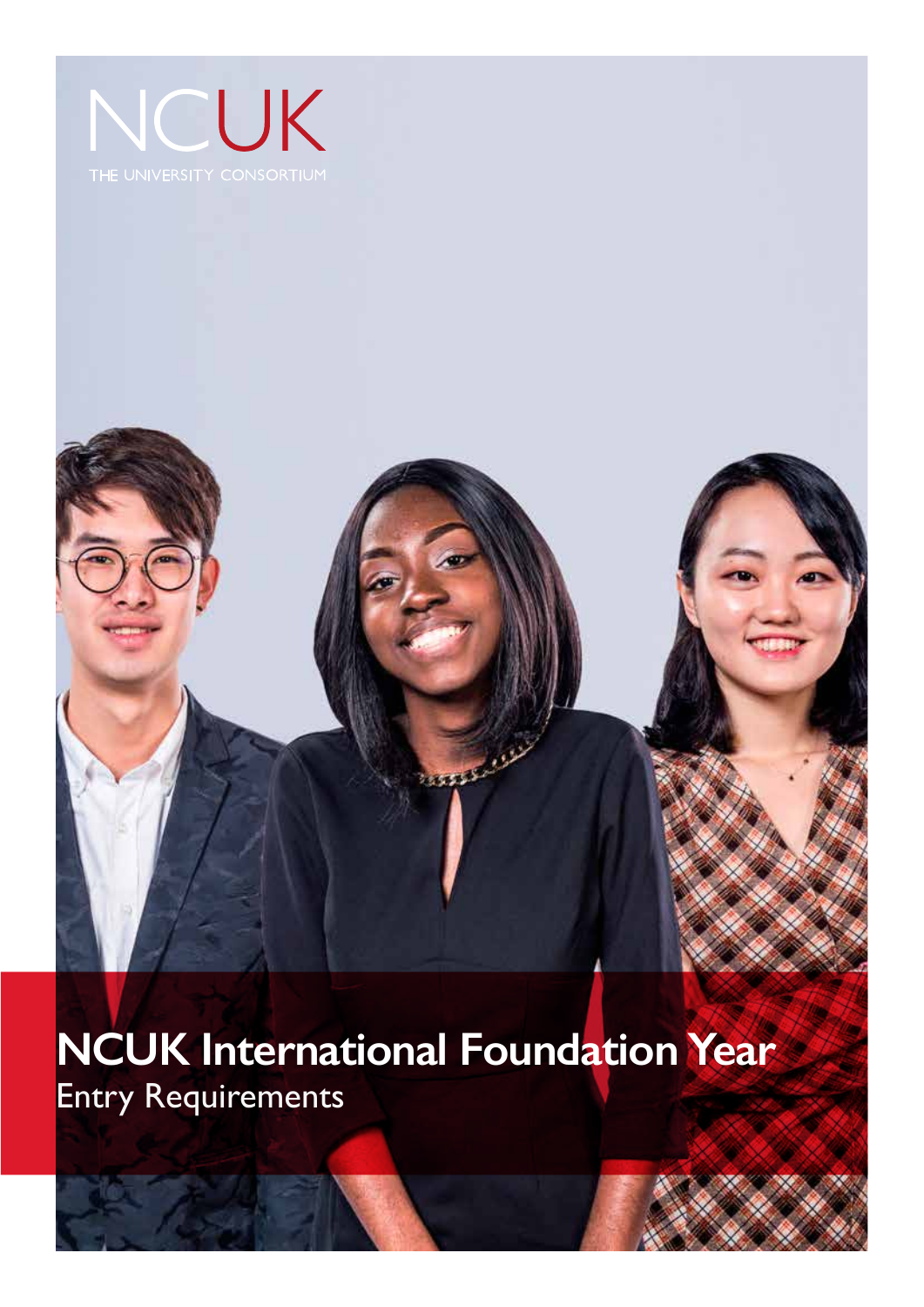

# فللتعقيق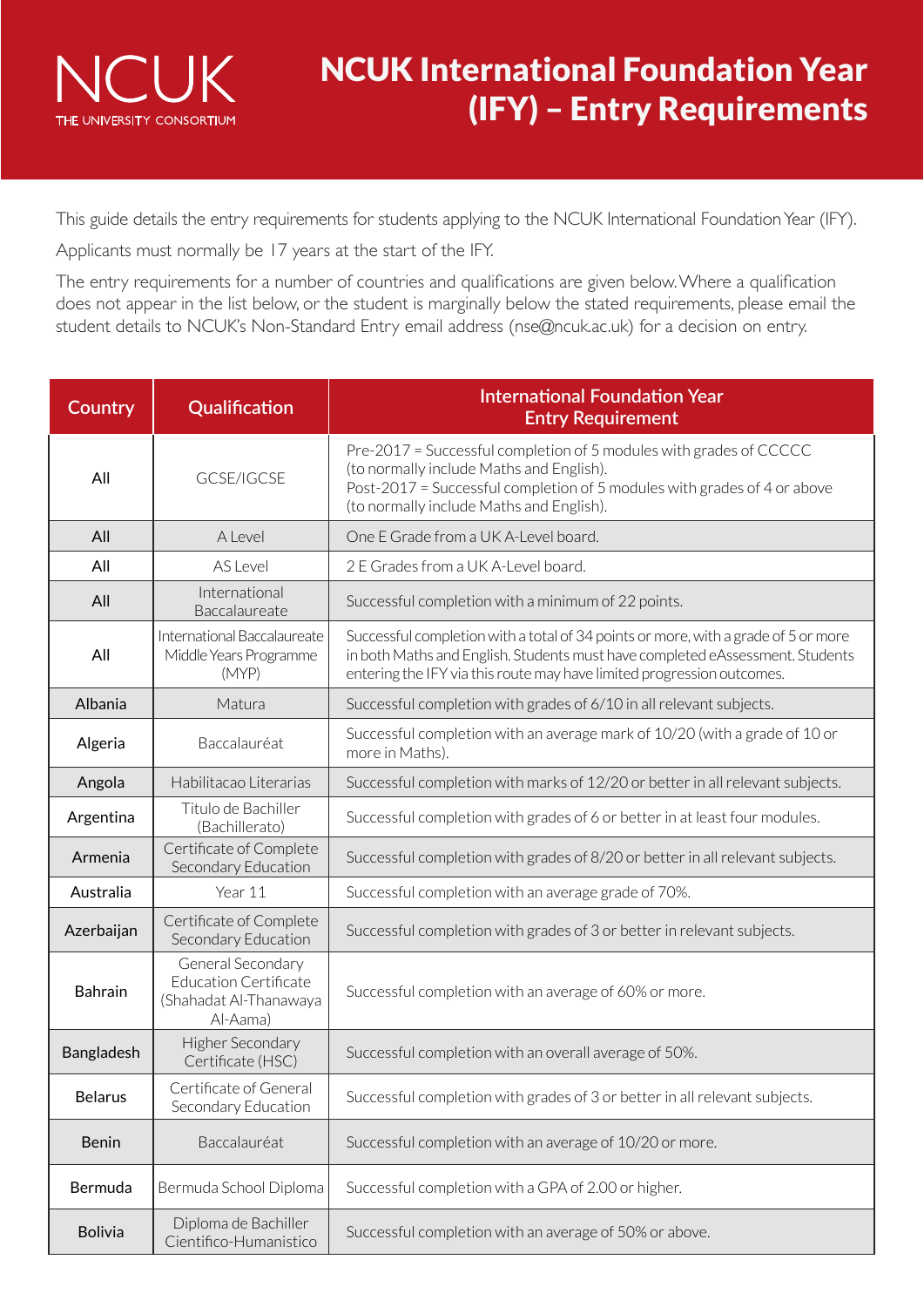

This guide details the entry requirements for students applying to the NCUK International Foundation Year (IFY).

Applicants must normally be 17 years at the start of the IFY.

The entry requirements for a number of countries and qualifications are given below. Where a qualification does not appear in the list below, or the student is marginally below the stated requirements, please email the student details to NCUK's Non-Standard Entry email address (nse@ncuk.ac.uk) for a decision on entry.

| Country        | Qualification                                                                           | <b>International Foundation Year</b><br><b>Entry Requirement</b>                                                                                                                                                                              |  |  |  |
|----------------|-----------------------------------------------------------------------------------------|-----------------------------------------------------------------------------------------------------------------------------------------------------------------------------------------------------------------------------------------------|--|--|--|
| All            | GCSE/IGCSE                                                                              | Pre-2017 = Successful completion of 5 modules with grades of CCCCC<br>(to normally include Maths and English).<br>Post-2017 = Successful completion of 5 modules with grades of 4 or above<br>(to normally include Maths and English).        |  |  |  |
| All            | A Level                                                                                 | One E Grade from a UK A-Level board.                                                                                                                                                                                                          |  |  |  |
| All            | AS Level                                                                                | 2 E Grades from a UK A-Level board.                                                                                                                                                                                                           |  |  |  |
| All            | International<br>Baccalaureate                                                          | Successful completion with a minimum of 22 points.                                                                                                                                                                                            |  |  |  |
| All            | International Baccalaureate<br>Middle Years Programme<br>(MYP)                          | Successful completion with a total of 34 points or more, with a grade of 5 or more<br>in both Maths and English. Students must have completed eAssessment. Students<br>entering the IFY via this route may have limited progression outcomes. |  |  |  |
| Albania        | Matura                                                                                  | Successful completion with grades of 6/10 in all relevant subjects.                                                                                                                                                                           |  |  |  |
| Algeria        | Baccalauréat                                                                            | Successful completion with an average mark of 10/20 (with a grade of 10 or<br>more in Maths).                                                                                                                                                 |  |  |  |
| Angola         | Habilitacao Literarias                                                                  | Successful completion with marks of 12/20 or better in all relevant subjects.                                                                                                                                                                 |  |  |  |
| Argentina      | Titulo de Bachiller<br>(Bachillerato)                                                   | Successful completion with grades of 6 or better in at least four modules.                                                                                                                                                                    |  |  |  |
| Armenia        | Certificate of Complete<br>Secondary Education                                          | Successful completion with grades of 8/20 or better in all relevant subjects.                                                                                                                                                                 |  |  |  |
| Australia      | Year 11                                                                                 | Successful completion with an average grade of 70%.                                                                                                                                                                                           |  |  |  |
| Azerbaijan     | Certificate of Complete<br>Secondary Education                                          | Successful completion with grades of 3 or better in relevant subjects.                                                                                                                                                                        |  |  |  |
| <b>Bahrain</b> | General Secondary<br><b>Education Certificate</b><br>(Shahadat Al-Thanawaya<br>Al-Aama) | Successful completion with an average of 60% or more.                                                                                                                                                                                         |  |  |  |
| Bangladesh     | Higher Secondary<br>Certificate (HSC)                                                   | Successful completion with an overall average of 50%.                                                                                                                                                                                         |  |  |  |
| <b>Belarus</b> | Certificate of General<br>Secondary Education                                           | Successful completion with grades of 3 or better in all relevant subjects.                                                                                                                                                                    |  |  |  |
| <b>Benin</b>   | Baccalauréat                                                                            | Successful completion with an average of 10/20 or more.                                                                                                                                                                                       |  |  |  |
| Bermuda        | Bermuda School Diploma                                                                  | Successful completion with a GPA of 2.00 or higher.                                                                                                                                                                                           |  |  |  |
| <b>Bolivia</b> | Diploma de Bachiller<br>Cientifico-Humanistico                                          | Successful completion with an average of 50% or above.                                                                                                                                                                                        |  |  |  |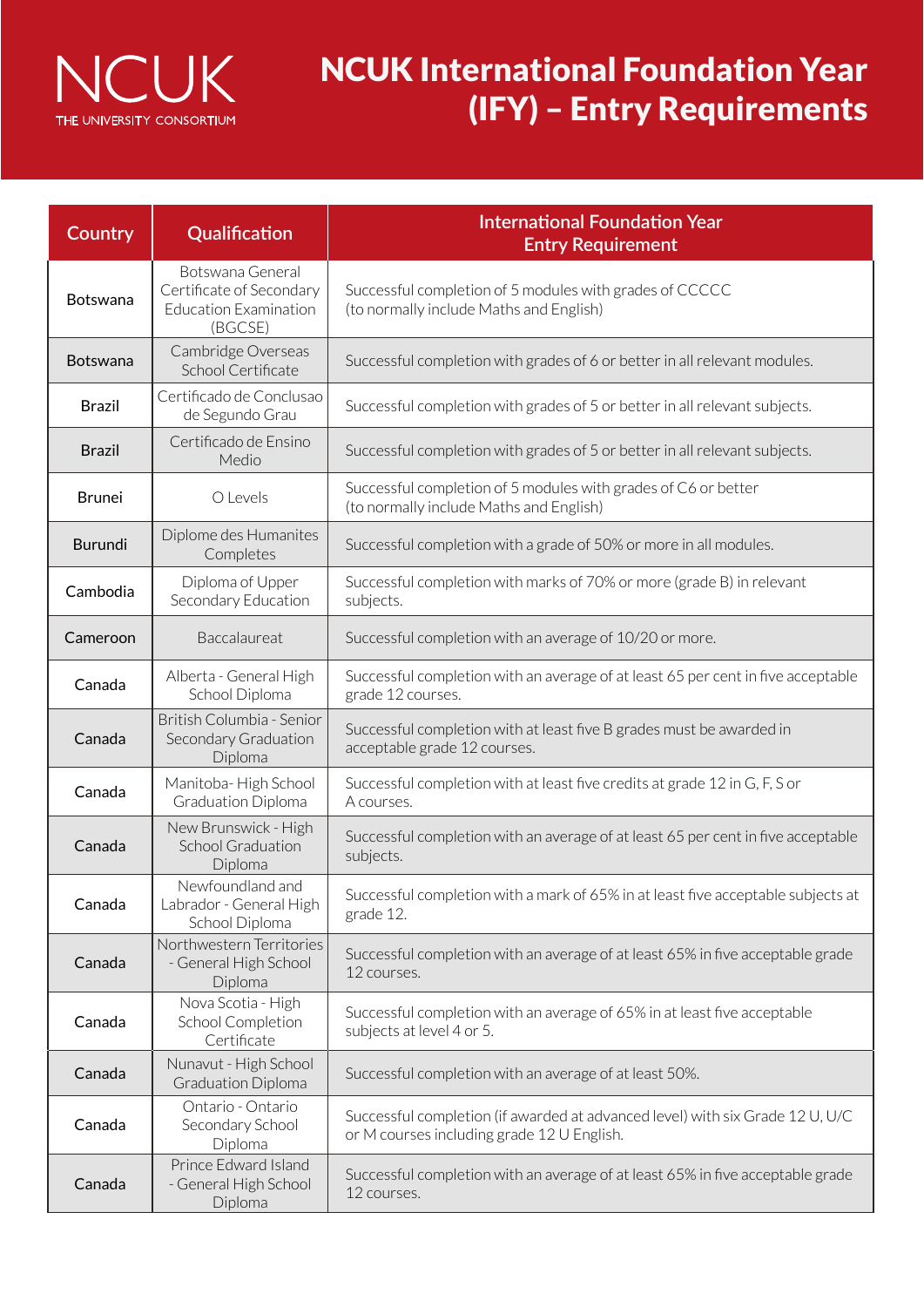

| Country         | Qualification                                                                           | <b>International Foundation Year</b><br><b>Entry Requirement</b>                                                            |  |  |  |
|-----------------|-----------------------------------------------------------------------------------------|-----------------------------------------------------------------------------------------------------------------------------|--|--|--|
| <b>Botswana</b> | Botswana General<br>Certificate of Secondary<br><b>Education Examination</b><br>(BGCSE) | Successful completion of 5 modules with grades of CCCCC<br>(to normally include Maths and English)                          |  |  |  |
| <b>Botswana</b> | Cambridge Overseas<br>School Certificate                                                | Successful completion with grades of 6 or better in all relevant modules.                                                   |  |  |  |
| <b>Brazil</b>   | Certificado de Conclusao<br>de Segundo Grau                                             | Successful completion with grades of 5 or better in all relevant subjects.                                                  |  |  |  |
| <b>Brazil</b>   | Certificado de Ensino<br>Medio                                                          | Successful completion with grades of 5 or better in all relevant subjects.                                                  |  |  |  |
| <b>Brunei</b>   | O Levels                                                                                | Successful completion of 5 modules with grades of C6 or better<br>(to normally include Maths and English)                   |  |  |  |
| Burundi         | Diplome des Humanites<br>Completes                                                      | Successful completion with a grade of 50% or more in all modules.                                                           |  |  |  |
| Cambodia        | Diploma of Upper<br>Secondary Education                                                 | Successful completion with marks of 70% or more (grade B) in relevant<br>subjects.                                          |  |  |  |
| Cameroon        | Baccalaureat                                                                            | Successful completion with an average of 10/20 or more.                                                                     |  |  |  |
| Canada          | Alberta - General High<br>School Diploma                                                | Successful completion with an average of at least 65 per cent in five acceptable<br>grade 12 courses.                       |  |  |  |
| Canada          | British Columbia - Senior<br>Secondary Graduation<br>Diploma                            | Successful completion with at least five B grades must be awarded in<br>acceptable grade 12 courses.                        |  |  |  |
| Canada          | Manitoba-High School<br><b>Graduation Diploma</b>                                       | Successful completion with at least five credits at grade 12 in G, F, S or<br>A courses.                                    |  |  |  |
| Canada          | New Brunswick - High<br><b>School Graduation</b><br>Diploma                             | Successful completion with an average of at least 65 per cent in five acceptable<br>subjects.                               |  |  |  |
| Canada          | Newfoundland and<br>Labrador - General High<br>School Diploma                           | Successful completion with a mark of 65% in at least five acceptable subjects at<br>grade 12.                               |  |  |  |
| Canada          | Northwestern Territories<br>- General High School<br>Diploma                            | Successful completion with an average of at least 65% in five acceptable grade<br>12 courses.                               |  |  |  |
| Canada          | Nova Scotia - High<br>School Completion<br>Certificate                                  | Successful completion with an average of 65% in at least five acceptable<br>subjects at level 4 or 5.                       |  |  |  |
| Canada          | Nunavut - High School<br><b>Graduation Diploma</b>                                      | Successful completion with an average of at least 50%.                                                                      |  |  |  |
| Canada          | Ontario - Ontario<br>Secondary School<br>Diploma                                        | Successful completion (if awarded at advanced level) with six Grade 12 U, U/C<br>or M courses including grade 12 U English. |  |  |  |
| Canada          | Prince Edward Island<br>- General High School<br>Diploma                                | Successful completion with an average of at least 65% in five acceptable grade<br>12 courses.                               |  |  |  |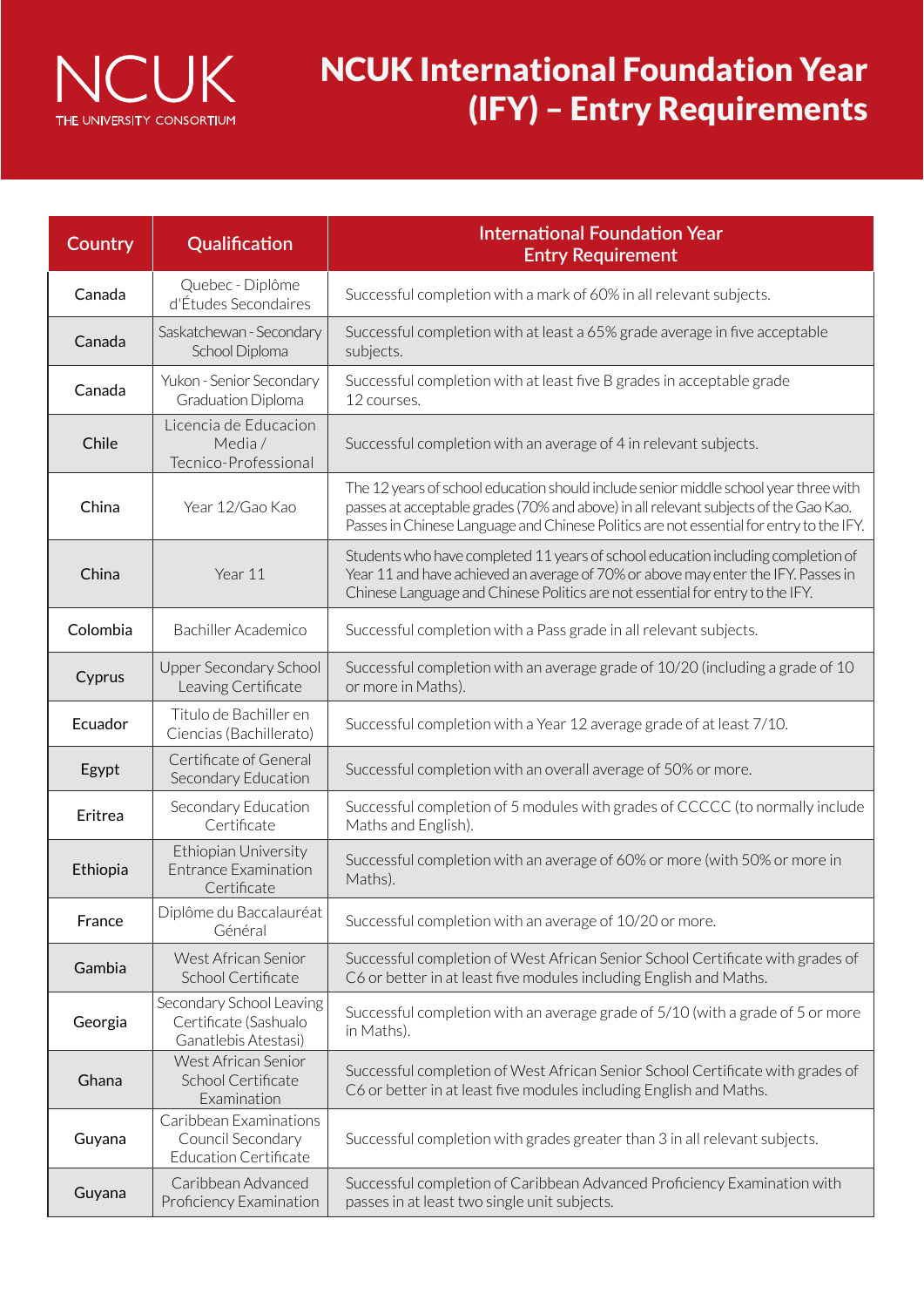

| Country  | Qualification                                                               | <b>International Foundation Year</b><br><b>Entry Requirement</b>                                                                                                                                                                                                        |  |  |  |  |
|----------|-----------------------------------------------------------------------------|-------------------------------------------------------------------------------------------------------------------------------------------------------------------------------------------------------------------------------------------------------------------------|--|--|--|--|
| Canada   | Quebec - Diplôme<br>d'Études Secondaires                                    | Successful completion with a mark of 60% in all relevant subjects.                                                                                                                                                                                                      |  |  |  |  |
| Canada   | Saskatchewan - Secondary<br>School Diploma                                  | Successful completion with at least a 65% grade average in five acceptable<br>subjects.                                                                                                                                                                                 |  |  |  |  |
| Canada   | Yukon - Senior Secondary<br>Graduation Diploma                              | Successful completion with at least five B grades in acceptable grade<br>12 courses.                                                                                                                                                                                    |  |  |  |  |
| Chile    | Licencia de Educacion<br>Media /<br>Tecnico-Professional                    | Successful completion with an average of 4 in relevant subjects.                                                                                                                                                                                                        |  |  |  |  |
| China    | Year 12/Gao Kao                                                             | The 12 years of school education should include senior middle school year three with<br>passes at acceptable grades (70% and above) in all relevant subjects of the Gao Kao.<br>Passes in Chinese Language and Chinese Politics are not essential for entry to the IFY. |  |  |  |  |
| China    | Year 11                                                                     | Students who have completed 11 years of school education including completion of<br>Year 11 and have achieved an average of 70% or above may enter the IFY. Passes in<br>Chinese Language and Chinese Politics are not essential for entry to the IFY.                  |  |  |  |  |
| Colombia | Bachiller Academico                                                         | Successful completion with a Pass grade in all relevant subjects.                                                                                                                                                                                                       |  |  |  |  |
| Cyprus   | <b>Upper Secondary School</b><br>Leaving Certificate                        | Successful completion with an average grade of 10/20 (including a grade of 10<br>or more in Maths).                                                                                                                                                                     |  |  |  |  |
| Ecuador  | Titulo de Bachiller en<br>Ciencias (Bachillerato)                           | Successful completion with a Year 12 average grade of at least 7/10.                                                                                                                                                                                                    |  |  |  |  |
| Egypt    | Certificate of General<br>Secondary Education                               | Successful completion with an overall average of 50% or more.                                                                                                                                                                                                           |  |  |  |  |
| Eritrea  | Secondary Education<br>Certificate                                          | Successful completion of 5 modules with grades of CCCCC (to normally include<br>Maths and English).                                                                                                                                                                     |  |  |  |  |
| Ethiopia | Ethiopian University<br><b>Entrance Examination</b><br>Certificate          | Successful completion with an average of 60% or more (with 50% or more in<br>Maths).                                                                                                                                                                                    |  |  |  |  |
| France   | Diplôme du Baccalauréat<br>Général                                          | Successful completion with an average of 10/20 or more.                                                                                                                                                                                                                 |  |  |  |  |
| Gambia   | West African Senior<br>School Certificate                                   | Successful completion of West African Senior School Certificate with grades of<br>C6 or better in at least five modules including English and Maths.                                                                                                                    |  |  |  |  |
| Georgia  | Secondary School Leaving<br>Certificate (Sashualo<br>Ganatlebis Atestasi)   | Successful completion with an average grade of 5/10 (with a grade of 5 or more<br>in Maths).                                                                                                                                                                            |  |  |  |  |
| Ghana    | West African Senior<br>School Certificate<br>Examination                    | Successful completion of West African Senior School Certificate with grades of<br>C6 or better in at least five modules including English and Maths.                                                                                                                    |  |  |  |  |
| Guyana   | Caribbean Examinations<br>Council Secondary<br><b>Education Certificate</b> | Successful completion with grades greater than 3 in all relevant subjects.                                                                                                                                                                                              |  |  |  |  |
| Guyana   | Caribbean Advanced<br>Proficiency Examination                               | Successful completion of Caribbean Advanced Proficiency Examination with<br>passes in at least two single unit subjects.                                                                                                                                                |  |  |  |  |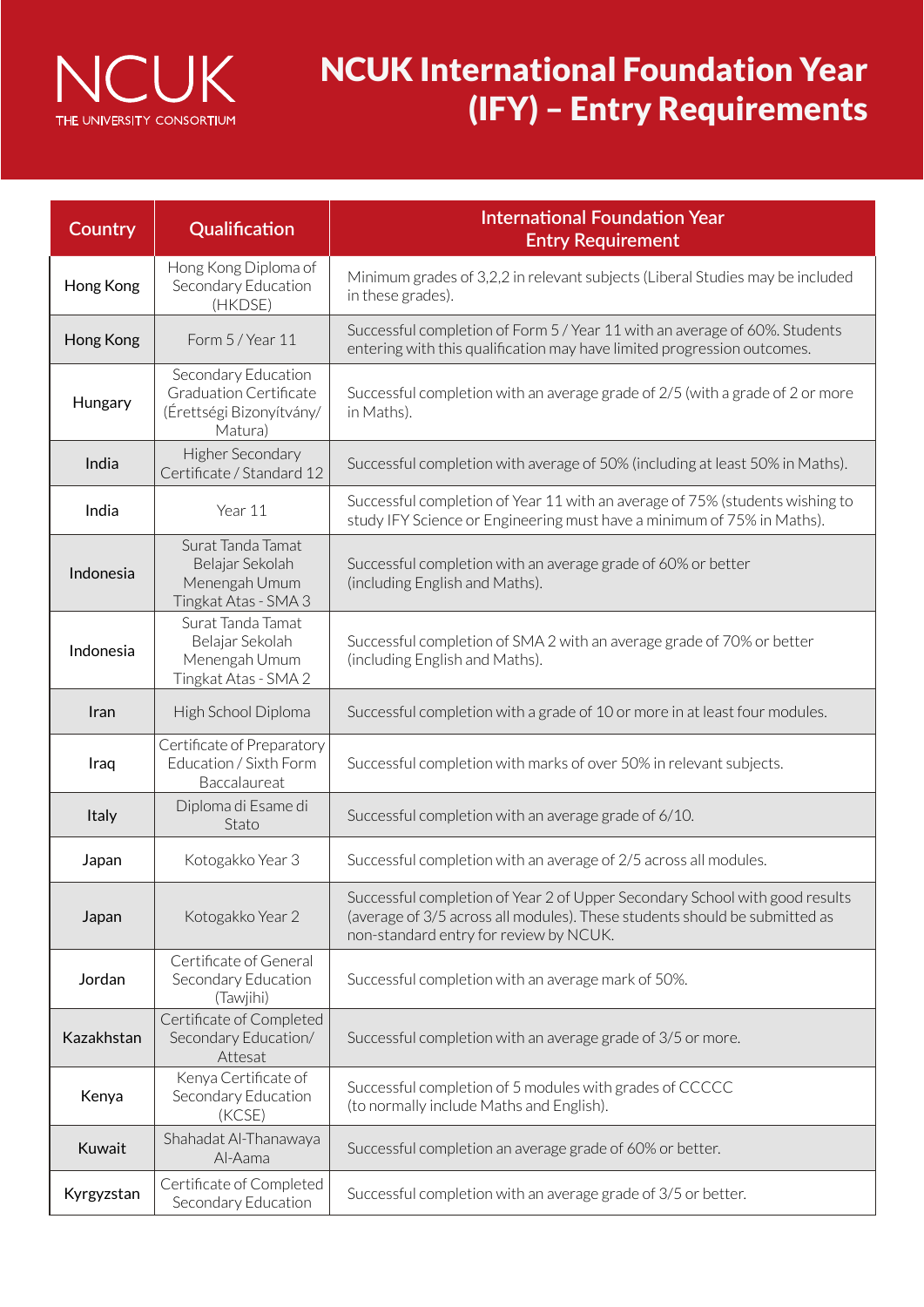

| Country    | Qualification                                                                               | <b>International Foundation Year</b><br><b>Entry Requirement</b>                                                                                                                                    |  |  |  |
|------------|---------------------------------------------------------------------------------------------|-----------------------------------------------------------------------------------------------------------------------------------------------------------------------------------------------------|--|--|--|
| Hong Kong  | Hong Kong Diploma of<br>Secondary Education<br>(HKDSE)                                      | Minimum grades of 3,2,2 in relevant subjects (Liberal Studies may be included<br>in these grades).                                                                                                  |  |  |  |
| Hong Kong  | Form 5 / Year 11                                                                            | Successful completion of Form 5 / Year 11 with an average of 60%. Students<br>entering with this qualification may have limited progression outcomes.                                               |  |  |  |
| Hungary    | Secondary Education<br><b>Graduation Certificate</b><br>(Érettségi Bizonyítvány/<br>Matura) | Successful completion with an average grade of 2/5 (with a grade of 2 or more<br>in Maths).                                                                                                         |  |  |  |
| India      | Higher Secondary<br>Certificate / Standard 12                                               | Successful completion with average of 50% (including at least 50% in Maths).                                                                                                                        |  |  |  |
| India      | Year 11                                                                                     | Successful completion of Year 11 with an average of 75% (students wishing to<br>study IFY Science or Engineering must have a minimum of 75% in Maths).                                              |  |  |  |
| Indonesia  | Surat Tanda Tamat<br>Belajar Sekolah<br>Menengah Umum<br>Tingkat Atas - SMA 3               | Successful completion with an average grade of 60% or better<br>(including English and Maths).                                                                                                      |  |  |  |
| Indonesia  | Surat Tanda Tamat<br>Belajar Sekolah<br>Menengah Umum<br>Tingkat Atas - SMA 2               | Successful completion of SMA 2 with an average grade of 70% or better<br>(including English and Maths).                                                                                             |  |  |  |
| Iran       | High School Diploma                                                                         | Successful completion with a grade of 10 or more in at least four modules.                                                                                                                          |  |  |  |
| Iraq       | Certificate of Preparatory<br>Education / Sixth Form<br>Baccalaureat                        | Successful completion with marks of over 50% in relevant subjects.                                                                                                                                  |  |  |  |
| Italy      | Diploma di Esame di<br>Stato                                                                | Successful completion with an average grade of 6/10.                                                                                                                                                |  |  |  |
| Japan      | Kotogakko Year 3                                                                            | Successful completion with an average of 2/5 across all modules.                                                                                                                                    |  |  |  |
| Japan      | Kotogakko Year 2                                                                            | Successful completion of Year 2 of Upper Secondary School with good results<br>(average of 3/5 across all modules). These students should be submitted as<br>non-standard entry for review by NCUK. |  |  |  |
| Jordan     | Certificate of General<br>Secondary Education<br>(Tawjihi)                                  | Successful completion with an average mark of 50%.                                                                                                                                                  |  |  |  |
| Kazakhstan | Certificate of Completed<br>Secondary Education/<br>Attesat                                 | Successful completion with an average grade of 3/5 or more.                                                                                                                                         |  |  |  |
| Kenya      | Kenya Certificate of<br>Secondary Education<br>(KCSE)                                       | Successful completion of 5 modules with grades of CCCCC<br>(to normally include Maths and English).                                                                                                 |  |  |  |
| Kuwait     | Shahadat Al-Thanawaya<br>Al-Aama                                                            | Successful completion an average grade of 60% or better.                                                                                                                                            |  |  |  |
| Kyrgyzstan | Certificate of Completed<br>Secondary Education                                             | Successful completion with an average grade of 3/5 or better.                                                                                                                                       |  |  |  |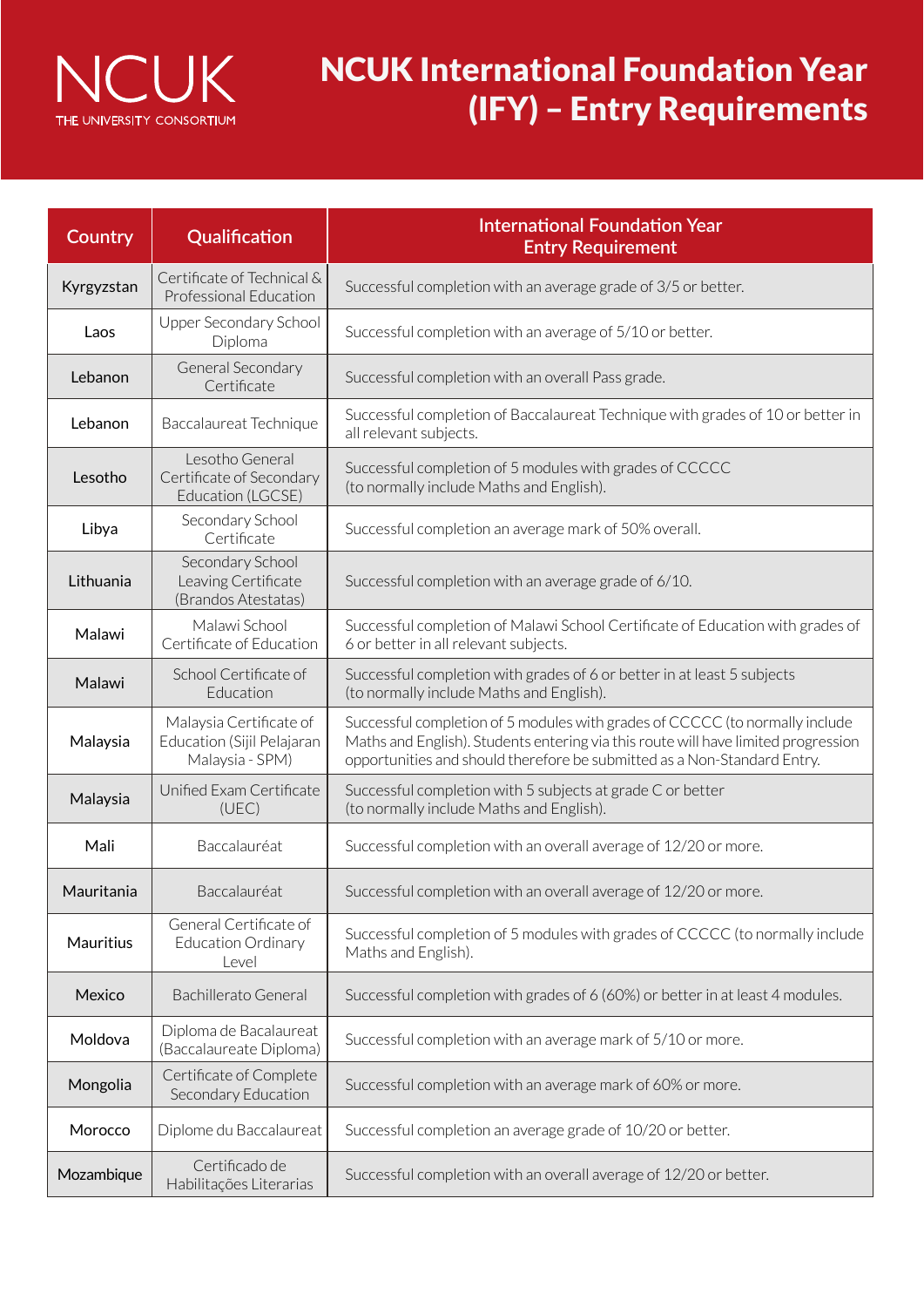

| Country    | Qualification                                                            | <b>International Foundation Year</b><br><b>Entry Requirement</b>                                                                                                                                                                               |  |  |  |
|------------|--------------------------------------------------------------------------|------------------------------------------------------------------------------------------------------------------------------------------------------------------------------------------------------------------------------------------------|--|--|--|
| Kyrgyzstan | Certificate of Technical &<br>Professional Education                     | Successful completion with an average grade of 3/5 or better.                                                                                                                                                                                  |  |  |  |
| Laos       | Upper Secondary School<br>Diploma                                        | Successful completion with an average of 5/10 or better.                                                                                                                                                                                       |  |  |  |
| Lebanon    | General Secondary<br>Certificate                                         | Successful completion with an overall Pass grade.                                                                                                                                                                                              |  |  |  |
| Lebanon    | Baccalaureat Technique                                                   | Successful completion of Baccalaureat Technique with grades of 10 or better in<br>all relevant subjects.                                                                                                                                       |  |  |  |
| Lesotho    | Lesotho General<br>Certificate of Secondary<br>Education (LGCSE)         | Successful completion of 5 modules with grades of CCCCC<br>(to normally include Maths and English).                                                                                                                                            |  |  |  |
| Libya      | Secondary School<br>Certificate                                          | Successful completion an average mark of 50% overall.                                                                                                                                                                                          |  |  |  |
| Lithuania  | Secondary School<br>Leaving Certificate<br>(Brandos Atestatas)           | Successful completion with an average grade of 6/10.                                                                                                                                                                                           |  |  |  |
| Malawi     | Malawi School<br>Certificate of Education                                | Successful completion of Malawi School Certificate of Education with grades of<br>6 or better in all relevant subjects.                                                                                                                        |  |  |  |
| Malawi     | School Certificate of<br>Education                                       | Successful completion with grades of 6 or better in at least 5 subjects<br>(to normally include Maths and English).                                                                                                                            |  |  |  |
| Malaysia   | Malaysia Certificate of<br>Education (Sijil Pelajaran<br>Malaysia - SPM) | Successful completion of 5 modules with grades of CCCCC (to normally include<br>Maths and English). Students entering via this route will have limited progression<br>opportunities and should therefore be submitted as a Non-Standard Entry. |  |  |  |
| Malaysia   | Unified Exam Certificate<br>(UEC)                                        | Successful completion with 5 subjects at grade C or better<br>(to normally include Maths and English).                                                                                                                                         |  |  |  |
| Mali       | Baccalauréat                                                             | Successful completion with an overall average of 12/20 or more.                                                                                                                                                                                |  |  |  |
| Mauritania | Baccalauréat                                                             | Successful completion with an overall average of 12/20 or more.                                                                                                                                                                                |  |  |  |
| Mauritius  | General Certificate of<br><b>Education Ordinary</b><br>Level             | Successful completion of 5 modules with grades of CCCCC (to normally include<br>Maths and English).                                                                                                                                            |  |  |  |
| Mexico     | Bachillerato General                                                     | Successful completion with grades of 6 (60%) or better in at least 4 modules.                                                                                                                                                                  |  |  |  |
| Moldova    | Diploma de Bacalaureat<br>(Baccalaureate Diploma)                        | Successful completion with an average mark of 5/10 or more.                                                                                                                                                                                    |  |  |  |
| Mongolia   | Certificate of Complete<br>Secondary Education                           | Successful completion with an average mark of 60% or more.                                                                                                                                                                                     |  |  |  |
| Morocco    | Diplome du Baccalaureat                                                  | Successful completion an average grade of 10/20 or better.                                                                                                                                                                                     |  |  |  |
| Mozambique | Certificado de<br>Habilitações Literarias                                | Successful completion with an overall average of 12/20 or better.                                                                                                                                                                              |  |  |  |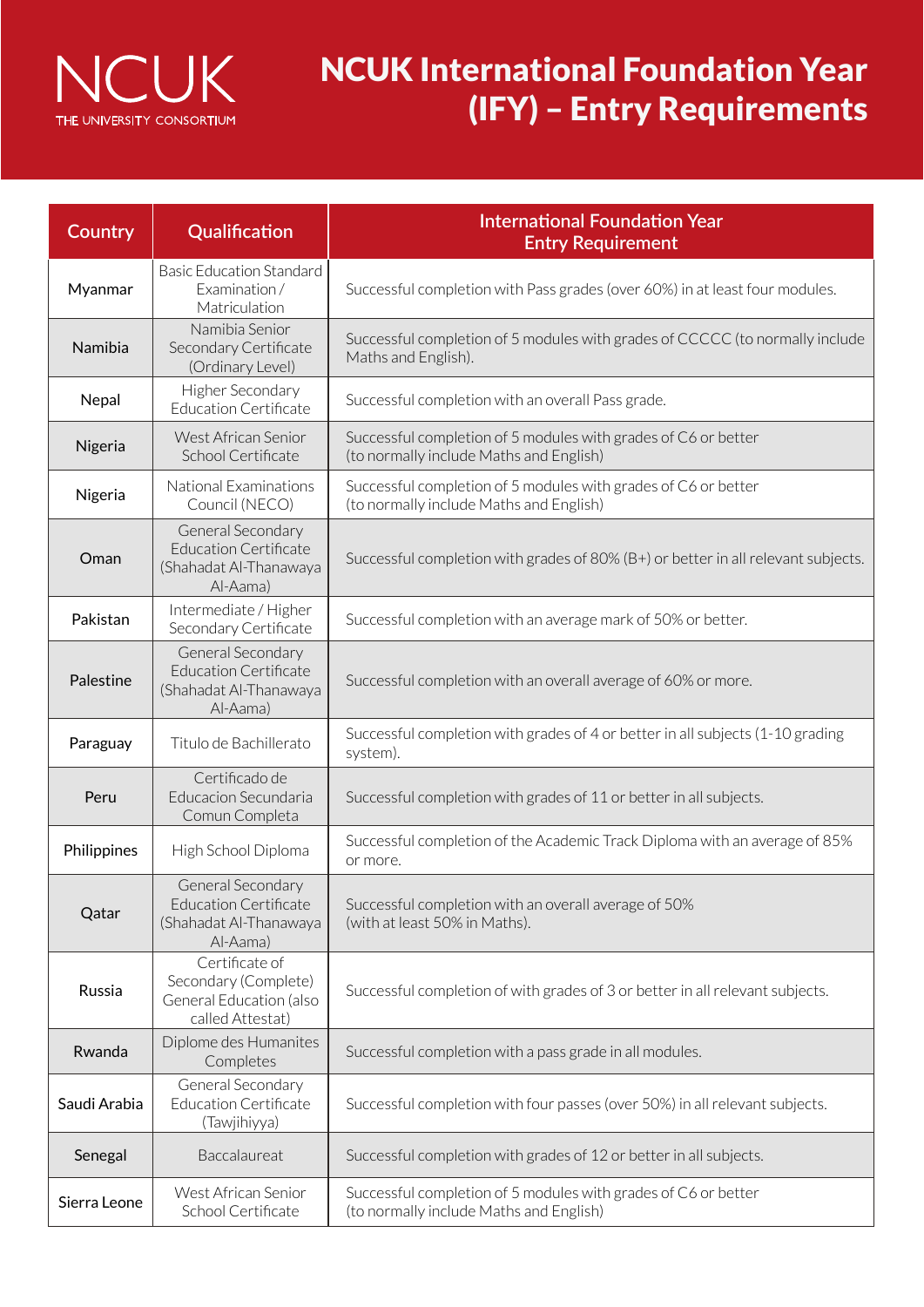

| Country      | Qualification                                                                           | <b>International Foundation Year</b><br><b>Entry Requirement</b>                                          |  |  |  |
|--------------|-----------------------------------------------------------------------------------------|-----------------------------------------------------------------------------------------------------------|--|--|--|
| Myanmar      | <b>Basic Education Standard</b><br>Examination/<br>Matriculation                        | Successful completion with Pass grades (over 60%) in at least four modules.                               |  |  |  |
| Namibia      | Namibia Senior<br>Secondary Certificate<br>(Ordinary Level)                             | Successful completion of 5 modules with grades of CCCCC (to normally include<br>Maths and English).       |  |  |  |
| Nepal        | Higher Secondary<br><b>Education Certificate</b>                                        | Successful completion with an overall Pass grade.                                                         |  |  |  |
| Nigeria      | West African Senior<br>School Certificate                                               | Successful completion of 5 modules with grades of C6 or better<br>(to normally include Maths and English) |  |  |  |
| Nigeria      | National Examinations<br>Council (NECO)                                                 | Successful completion of 5 modules with grades of C6 or better<br>(to normally include Maths and English) |  |  |  |
| Oman         | General Secondary<br><b>Education Certificate</b><br>(Shahadat Al-Thanawaya<br>Al-Aama) | Successful completion with grades of 80% (B+) or better in all relevant subjects.                         |  |  |  |
| Pakistan     | Intermediate / Higher<br>Secondary Certificate                                          | Successful completion with an average mark of 50% or better.                                              |  |  |  |
| Palestine    | General Secondary<br><b>Education Certificate</b><br>(Shahadat Al-Thanawaya<br>Al-Aama) | Successful completion with an overall average of 60% or more.                                             |  |  |  |
| Paraguay     | Titulo de Bachillerato                                                                  | Successful completion with grades of 4 or better in all subjects (1-10 grading<br>system).                |  |  |  |
| Peru         | Certificado de<br>Educacion Secundaria<br>Comun Completa                                | Successful completion with grades of 11 or better in all subjects.                                        |  |  |  |
| Philippines  | High School Diploma                                                                     | Successful completion of the Academic Track Diploma with an average of 85%<br>or more.                    |  |  |  |
| Qatar        | General Secondary<br><b>Education Certificate</b><br>(Shahadat Al-Thanawaya<br>Al-Aama) | Successful completion with an overall average of 50%<br>(with at least 50% in Maths).                     |  |  |  |
| Russia       | Certificate of<br>Secondary (Complete)<br>General Education (also<br>called Attestat)   | Successful completion of with grades of 3 or better in all relevant subjects.                             |  |  |  |
| Rwanda       | Diplome des Humanites<br>Completes                                                      | Successful completion with a pass grade in all modules.                                                   |  |  |  |
| Saudi Arabia | General Secondary<br><b>Education Certificate</b><br>(Tawjihiyya)                       | Successful completion with four passes (over 50%) in all relevant subjects.                               |  |  |  |
| Senegal      | Baccalaureat                                                                            | Successful completion with grades of 12 or better in all subjects.                                        |  |  |  |
| Sierra Leone | West African Senior<br>School Certificate                                               | Successful completion of 5 modules with grades of C6 or better<br>(to normally include Maths and English) |  |  |  |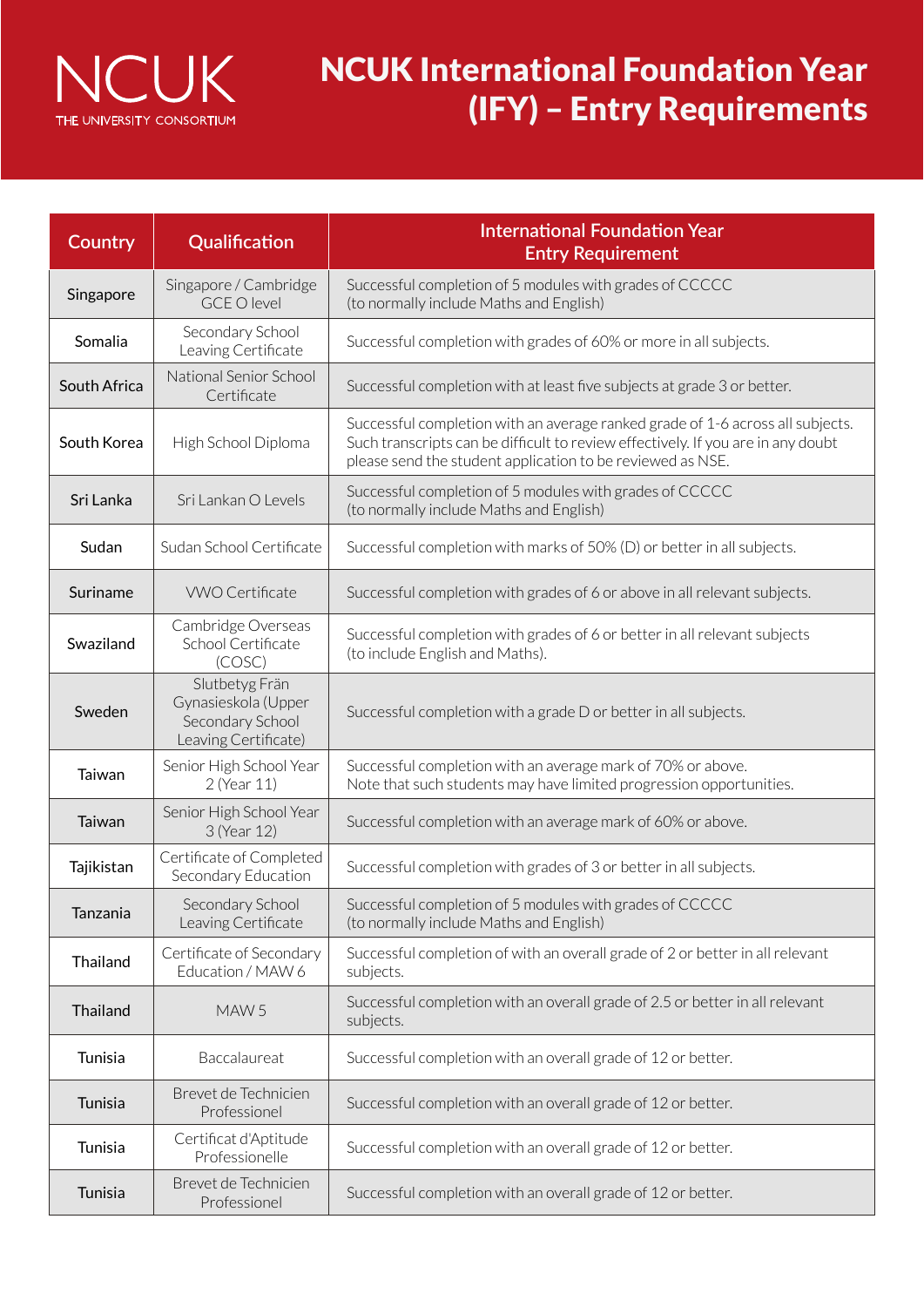

| Country      | Qualification                                                                     | <b>International Foundation Year</b><br><b>Entry Requirement</b>                                                                                                                                                                 |  |  |  |
|--------------|-----------------------------------------------------------------------------------|----------------------------------------------------------------------------------------------------------------------------------------------------------------------------------------------------------------------------------|--|--|--|
| Singapore    | Singapore / Cambridge<br><b>GCE O level</b>                                       | Successful completion of 5 modules with grades of CCCCC<br>(to normally include Maths and English)                                                                                                                               |  |  |  |
| Somalia      | Secondary School<br>Leaving Certificate                                           | Successful completion with grades of 60% or more in all subjects.                                                                                                                                                                |  |  |  |
| South Africa | National Senior School<br>Certificate                                             | Successful completion with at least five subjects at grade 3 or better.                                                                                                                                                          |  |  |  |
| South Korea  | High School Diploma                                                               | Successful completion with an average ranked grade of 1-6 across all subjects.<br>Such transcripts can be difficult to review effectively. If you are in any doubt<br>please send the student application to be reviewed as NSE. |  |  |  |
| Sri Lanka    | Sri Lankan O Levels                                                               | Successful completion of 5 modules with grades of CCCCC<br>(to normally include Maths and English)                                                                                                                               |  |  |  |
| Sudan        | Sudan School Certificate                                                          | Successful completion with marks of 50% (D) or better in all subjects.                                                                                                                                                           |  |  |  |
| Suriname     | <b>VWO Certificate</b>                                                            | Successful completion with grades of 6 or above in all relevant subjects.                                                                                                                                                        |  |  |  |
| Swaziland    | Cambridge Overseas<br>School Certificate<br>(COSC)                                | Successful completion with grades of 6 or better in all relevant subjects<br>(to include English and Maths).                                                                                                                     |  |  |  |
| Sweden       | Slutbetyg Frän<br>Gynasieskola (Upper<br>Secondary School<br>Leaving Certificate) | Successful completion with a grade D or better in all subjects.                                                                                                                                                                  |  |  |  |
| Taiwan       | Senior High School Year<br>2 (Year 11)                                            | Successful completion with an average mark of 70% or above.<br>Note that such students may have limited progression opportunities.                                                                                               |  |  |  |
| Taiwan       | Senior High School Year<br>3 (Year 12)                                            | Successful completion with an average mark of 60% or above.                                                                                                                                                                      |  |  |  |
| Tajikistan   | Certificate of Completed<br>Secondary Education                                   | Successful completion with grades of 3 or better in all subjects.                                                                                                                                                                |  |  |  |
| Tanzania     | Secondary School<br>Leaving Certificate                                           | Successful completion of 5 modules with grades of CCCCC<br>(to normally include Maths and English)                                                                                                                               |  |  |  |
| Thailand     | Certificate of Secondary<br>Education / MAW 6                                     | Successful completion of with an overall grade of 2 or better in all relevant<br>subjects.                                                                                                                                       |  |  |  |
| Thailand     | MAW <sub>5</sub>                                                                  | Successful completion with an overall grade of 2.5 or better in all relevant<br>subjects.                                                                                                                                        |  |  |  |
| Tunisia      | Baccalaureat                                                                      | Successful completion with an overall grade of 12 or better.                                                                                                                                                                     |  |  |  |
| Tunisia      | Brevet de Technicien<br>Professionel                                              | Successful completion with an overall grade of 12 or better.                                                                                                                                                                     |  |  |  |
| Tunisia      | Certificat d'Aptitude<br>Professionelle                                           | Successful completion with an overall grade of 12 or better.                                                                                                                                                                     |  |  |  |
| Tunisia      | Brevet de Technicien<br>Professionel                                              | Successful completion with an overall grade of 12 or better.                                                                                                                                                                     |  |  |  |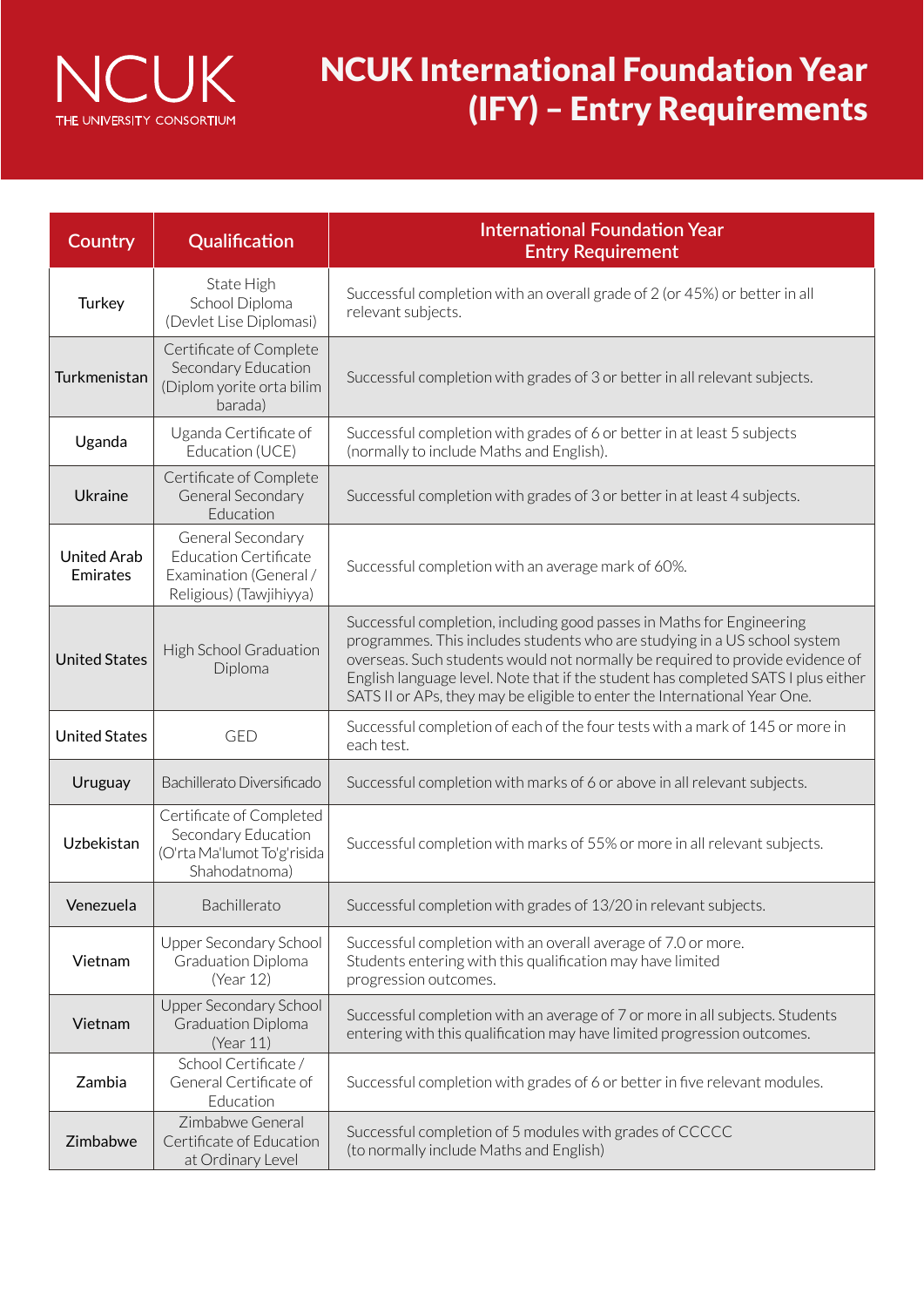

| Country                        | Qualification                                                                                          | <b>International Foundation Year</b><br><b>Entry Requirement</b>                                                                                                                                                                                                                                                                                                                                      |  |  |  |
|--------------------------------|--------------------------------------------------------------------------------------------------------|-------------------------------------------------------------------------------------------------------------------------------------------------------------------------------------------------------------------------------------------------------------------------------------------------------------------------------------------------------------------------------------------------------|--|--|--|
| Turkey                         | State High<br>School Diploma<br>(Devlet Lise Diplomasi)                                                | Successful completion with an overall grade of 2 (or 45%) or better in all<br>relevant subjects.                                                                                                                                                                                                                                                                                                      |  |  |  |
| Turkmenistan                   | Certificate of Complete<br>Secondary Education<br>(Diplom yorite orta bilim<br>barada)                 | Successful completion with grades of 3 or better in all relevant subjects.                                                                                                                                                                                                                                                                                                                            |  |  |  |
| Uganda                         | Uganda Certificate of<br>Education (UCE)                                                               | Successful completion with grades of 6 or better in at least 5 subjects<br>(normally to include Maths and English).                                                                                                                                                                                                                                                                                   |  |  |  |
| Ukraine                        | Certificate of Complete<br>General Secondary<br>Education                                              | Successful completion with grades of 3 or better in at least 4 subjects.                                                                                                                                                                                                                                                                                                                              |  |  |  |
| <b>United Arab</b><br>Emirates | General Secondary<br><b>Education Certificate</b><br>Examination (General /<br>Religious) (Tawjihiyya) | Successful completion with an average mark of 60%.                                                                                                                                                                                                                                                                                                                                                    |  |  |  |
| <b>United States</b>           | High School Graduation<br>Diploma                                                                      | Successful completion, including good passes in Maths for Engineering<br>programmes. This includes students who are studying in a US school system<br>overseas. Such students would not normally be required to provide evidence of<br>English language level. Note that if the student has completed SATS I plus either<br>SATS II or APs, they may be eligible to enter the International Year One. |  |  |  |
| <b>United States</b>           | <b>GED</b>                                                                                             | Successful completion of each of the four tests with a mark of 145 or more in<br>each test.                                                                                                                                                                                                                                                                                                           |  |  |  |
| Uruguay                        | Bachillerato Diversificado                                                                             | Successful completion with marks of 6 or above in all relevant subjects.                                                                                                                                                                                                                                                                                                                              |  |  |  |
| Uzbekistan                     | Certificate of Completed<br>Secondary Education<br>(O'rta Ma'lumot To'g'risida<br>Shahodatnoma)        | Successful completion with marks of 55% or more in all relevant subjects.                                                                                                                                                                                                                                                                                                                             |  |  |  |
| Venezuela                      | Bachillerato                                                                                           | Successful completion with grades of 13/20 in relevant subjects.                                                                                                                                                                                                                                                                                                                                      |  |  |  |
| Vietnam                        | Upper Secondary School<br>Graduation Diploma<br>(Year 12)                                              | Successful completion with an overall average of 7.0 or more.<br>Students entering with this qualification may have limited<br>progression outcomes.                                                                                                                                                                                                                                                  |  |  |  |
| Vietnam                        | Upper Secondary School<br><b>Graduation Diploma</b><br>(Year 11)                                       | Successful completion with an average of 7 or more in all subjects. Students<br>entering with this qualification may have limited progression outcomes.                                                                                                                                                                                                                                               |  |  |  |
| Zambia                         | School Certificate/<br>General Certificate of<br>Education                                             | Successful completion with grades of 6 or better in five relevant modules.                                                                                                                                                                                                                                                                                                                            |  |  |  |
| Zimbabwe                       | Zimbabwe General<br>Certificate of Education<br>at Ordinary Level                                      | Successful completion of 5 modules with grades of CCCCC<br>(to normally include Maths and English)                                                                                                                                                                                                                                                                                                    |  |  |  |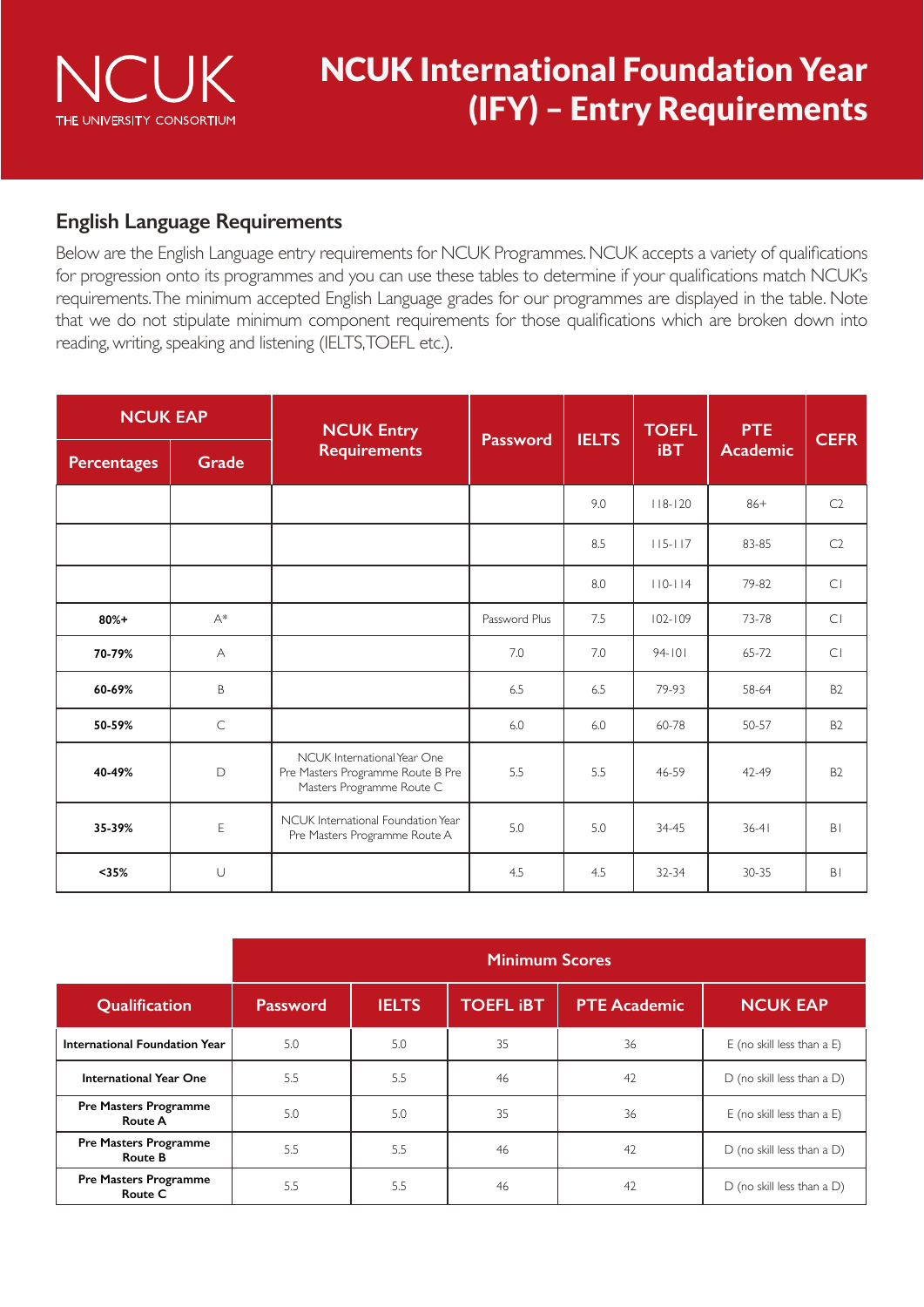

### **English Language Requirements**

Below are the English Language entry requirements for NCUK Programmes. NCUK accepts a variety of qualifications for progression onto its programmes and you can use these tables to determine if your qualifications match NCUK's requirements. The minimum accepted English Language grades for our programmes are displayed in the table. Note that we do not stipulate minimum component requirements for those qualifications which are broken down into reading, writing, speaking and listening (IELTS, TOEFL etc.).

| <b>NCUK EAP</b>    |              | <b>NCUK Entry</b>                                                                             |                 | <b>IELTS</b> | <b>TOEFL</b> | <b>PTE</b>      | <b>CEFR</b>    |
|--------------------|--------------|-----------------------------------------------------------------------------------------------|-----------------|--------------|--------------|-----------------|----------------|
| <b>Percentages</b> | <b>Grade</b> | <b>Requirements</b>                                                                           | <b>Password</b> |              | <b>iBT</b>   | <b>Academic</b> |                |
|                    |              |                                                                                               |                 | 9.0          | $118 - 120$  | $86+$           | C2             |
|                    |              |                                                                                               |                 | 8.5          | $115 - 117$  | 83-85           | C <sub>2</sub> |
|                    |              |                                                                                               |                 | 8.0          | $110-114$    | 79-82           | CI             |
| $80%+$             | $A^*$        |                                                                                               | Password Plus   | 7.5          | $102 - 109$  | 73-78           | C1             |
| 70-79%             | A            |                                                                                               | 7.0             | 7.0          | $94 - 101$   | 65-72           | C1             |
| 60-69%             | B            |                                                                                               | 6.5             | 6.5          | 79-93        | 58-64           | B <sub>2</sub> |
| 50-59%             | $\subset$    |                                                                                               | 6.0             | 6.0          | 60-78        | 50-57           | B <sub>2</sub> |
| 40-49%             | D            | NCUK International Year One<br>Pre Masters Programme Route B Pre<br>Masters Programme Route C | 5.5             | 5.5          | 46-59        | $42 - 49$       | <b>B2</b>      |
| 35-39%             | E            | NCUK International Foundation Year<br>Pre Masters Programme Route A                           | 5.0             | 5.0          | 34-45        | $36 - 41$       | B <sub>1</sub> |
| $35%$              | $\cup$       |                                                                                               | 4.5             | 4.5          | 32-34        | $30 - 35$       | B <sub>1</sub> |

|                                                | <b>Minimum Scores</b> |              |                  |                     |                                 |
|------------------------------------------------|-----------------------|--------------|------------------|---------------------|---------------------------------|
| Qualification                                  | <b>Password</b>       | <b>IELTS</b> | <b>TOEFL IBT</b> | <b>PTE Academic</b> | <b>NCUK EAP</b>                 |
| International Foundation Year                  | 5.0                   | 5.0          | 35               | 36                  | E (no skill less than a E)      |
| <b>International Year One</b>                  | 5.5                   | 5.5          | 46               | 42                  | $D$ (no skill less than a $D$ ) |
| <b>Pre Masters Programme</b><br><b>Route A</b> | 5.0                   | 5.0          | 35               | 36                  | E (no skill less than a E)      |
| <b>Pre Masters Programme</b><br><b>Route B</b> | 5.5                   | 5.5          | 46               | 42                  | $D$ (no skill less than a $D$ ) |
| <b>Pre Masters Programme</b><br>Route C        | 5.5                   | 5.5          | 46               | 42                  | $D$ (no skill less than a $D$ ) |